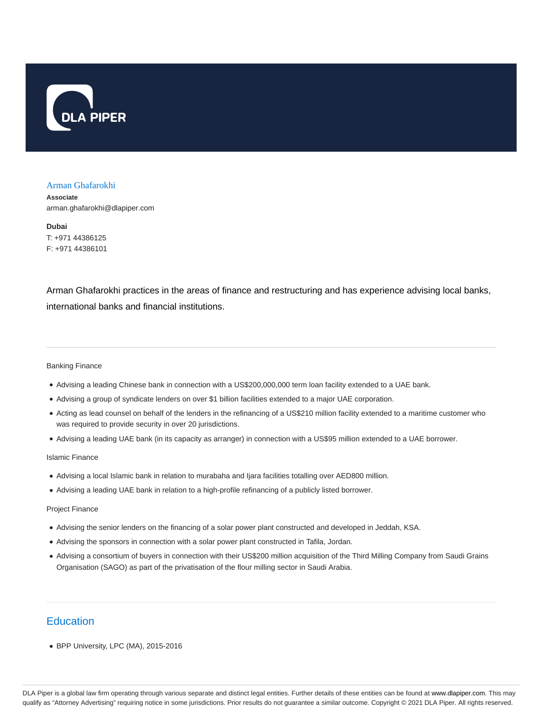

### Arman Ghafarokhi

**Associate** arman.ghafarokhi@dlapiper.com

**Dubai** T: +971 44386125 F: +971 44386101

Arman Ghafarokhi practices in the areas of finance and restructuring and has experience advising local banks, international banks and financial institutions.

## Banking Finance

- Advising a leading Chinese bank in connection with a US\$200,000,000 term loan facility extended to a UAE bank.
- Advising a group of syndicate lenders on over \$1 billion facilities extended to a major UAE corporation.
- Acting as lead counsel on behalf of the lenders in the refinancing of a US\$210 million facility extended to a maritime customer who was required to provide security in over 20 jurisdictions.
- Advising a leading UAE bank (in its capacity as arranger) in connection with a US\$95 million extended to a UAE borrower.

#### Islamic Finance

- Advising a local Islamic bank in relation to murabaha and Ijara facilities totalling over AED800 million.
- Advising a leading UAE bank in relation to a high-profile refinancing of a publicly listed borrower.

#### Project Finance

- Advising the senior lenders on the financing of a solar power plant constructed and developed in Jeddah, KSA.
- Advising the sponsors in connection with a solar power plant constructed in Tafila, Jordan.
- Advising a consortium of buyers in connection with their US\$200 million acquisition of the Third Milling Company from Saudi Grains Organisation (SAGO) as part of the privatisation of the flour milling sector in Saudi Arabia.

# **Education**

BPP University, LPC (MA), 2015-2016

DLA Piper is a global law firm operating through various separate and distinct legal entities. Further details of these entities can be found at www.dlapiper.com. This may qualify as "Attorney Advertising" requiring notice in some jurisdictions. Prior results do not guarantee a similar outcome. Copyright © 2021 DLA Piper. All rights reserved.